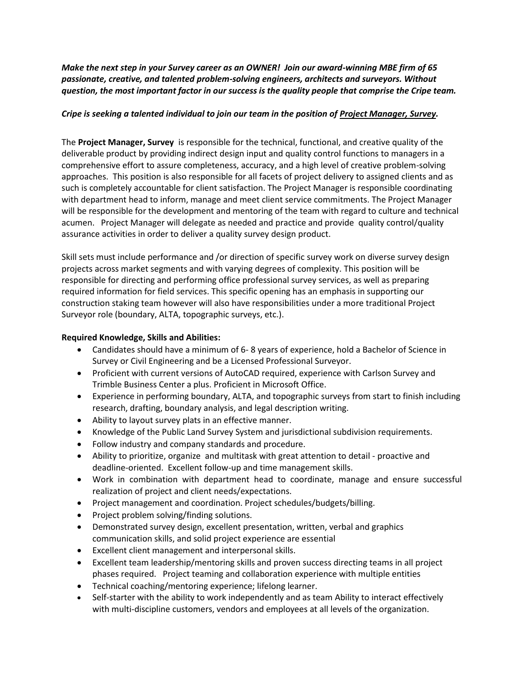*Make the next step in your Survey career as an OWNER! Join our award-winning MBE firm of 65 passionate, creative, and talented problem-solving engineers, architects and surveyors. Without question, the most important factor in our success is the quality people that comprise the Cripe team.*

## *Cripe is seeking a talented individual to join our team in the position of Project Manager, Survey.*

The **Project Manager, Survey** is responsible for the technical, functional, and creative quality of the deliverable product by providing indirect design input and quality control functions to managers in a comprehensive effort to assure completeness, accuracy, and a high level of creative problem-solving approaches. This position is also responsible for all facets of project delivery to assigned clients and as such is completely accountable for client satisfaction. The Project Manager is responsible coordinating with department head to inform, manage and meet client service commitments. The Project Manager will be responsible for the development and mentoring of the team with regard to culture and technical acumen. Project Manager will delegate as needed and practice and provide quality control/quality assurance activities in order to deliver a quality survey design product.

Skill sets must include performance and /or direction of specific survey work on diverse survey design projects across market segments and with varying degrees of complexity. This position will be responsible for directing and performing office professional survey services, as well as preparing required information for field services. This specific opening has an emphasis in supporting our construction staking team however will also have responsibilities under a more traditional Project Surveyor role (boundary, ALTA, topographic surveys, etc.).

## **Required Knowledge, Skills and Abilities:**

- Candidates should have a minimum of 6- 8 years of experience, hold a Bachelor of Science in Survey or Civil Engineering and be a Licensed Professional Surveyor.
- Proficient with current versions of AutoCAD required, experience with Carlson Survey and Trimble Business Center a plus. Proficient in Microsoft Office.
- Experience in performing boundary, ALTA, and topographic surveys from start to finish including research, drafting, boundary analysis, and legal description writing.
- Ability to layout survey plats in an effective manner.
- Knowledge of the Public Land Survey System and jurisdictional subdivision requirements.
- Follow industry and company standards and procedure.
- Ability to prioritize, organize and multitask with great attention to detail proactive and deadline-oriented. Excellent follow-up and time management skills.
- Work in combination with department head to coordinate, manage and ensure successful realization of project and client needs/expectations.
- Project management and coordination. Project schedules/budgets/billing.
- Project problem solving/finding solutions.
- Demonstrated survey design, excellent presentation, written, verbal and graphics communication skills, and solid project experience are essential
- Excellent client management and interpersonal skills.
- Excellent team leadership/mentoring skills and proven success directing teams in all project phases required. Project teaming and collaboration experience with multiple entities
- Technical coaching/mentoring experience; lifelong learner.
- Self-starter with the ability to work independently and as team Ability to interact effectively with multi-discipline customers, vendors and employees at all levels of the organization.